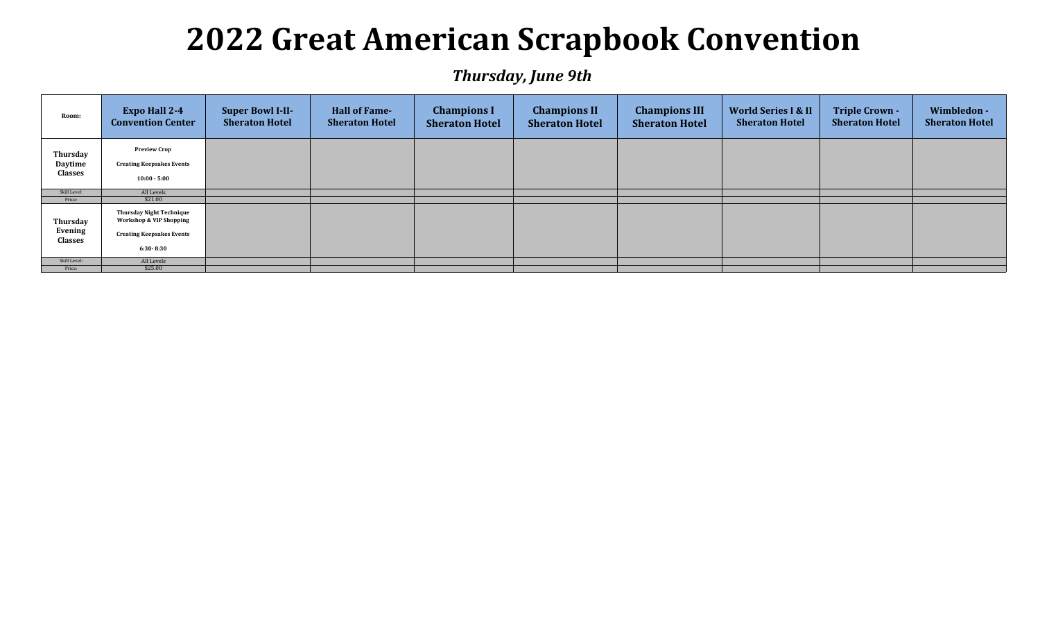## **2022 Great American Scrapbook Convention**

*Thursday, June 9th*

| Room:                          | <b>Expo Hall 2-4</b><br><b>Convention Center</b>                                                                           | <b>Super Bowl I-II-</b><br><b>Sheraton Hotel</b> | <b>Hall of Fame-</b><br><b>Sheraton Hotel</b> | <b>Champions I</b><br><b>Sheraton Hotel</b> | <b>Champions II</b><br><b>Sheraton Hotel</b> | <b>Champions III</b><br><b>Sheraton Hotel</b> | <b>World Series I &amp; II</b><br><b>Sheraton Hotel</b> | <b>Triple Crown -</b><br><b>Sheraton Hotel</b> | Wimbledon -<br><b>Sheraton Hotel</b> |
|--------------------------------|----------------------------------------------------------------------------------------------------------------------------|--------------------------------------------------|-----------------------------------------------|---------------------------------------------|----------------------------------------------|-----------------------------------------------|---------------------------------------------------------|------------------------------------------------|--------------------------------------|
| Thursday<br>Daytime<br>Classes | <b>Preview Crop</b><br><b>Creating Keepsakes Events</b><br>$10:00 - 5:00$                                                  |                                                  |                                               |                                             |                                              |                                               |                                                         |                                                |                                      |
| Skill Level:                   | All Levels                                                                                                                 |                                                  |                                               |                                             |                                              |                                               |                                                         |                                                |                                      |
| Price:                         | \$21.00                                                                                                                    |                                                  |                                               |                                             |                                              |                                               |                                                         |                                                |                                      |
| Thursday<br>Evening<br>Classes | <b>Thursday Night Technique</b><br><b>Workshop &amp; VIP Shopping</b><br><b>Creating Keepsakes Events</b><br>$6:30 - 8:30$ |                                                  |                                               |                                             |                                              |                                               |                                                         |                                                |                                      |
| Skill Level:                   | All Levels                                                                                                                 |                                                  |                                               |                                             |                                              |                                               |                                                         |                                                |                                      |
| Price:                         | \$25.00                                                                                                                    |                                                  |                                               |                                             |                                              |                                               |                                                         |                                                |                                      |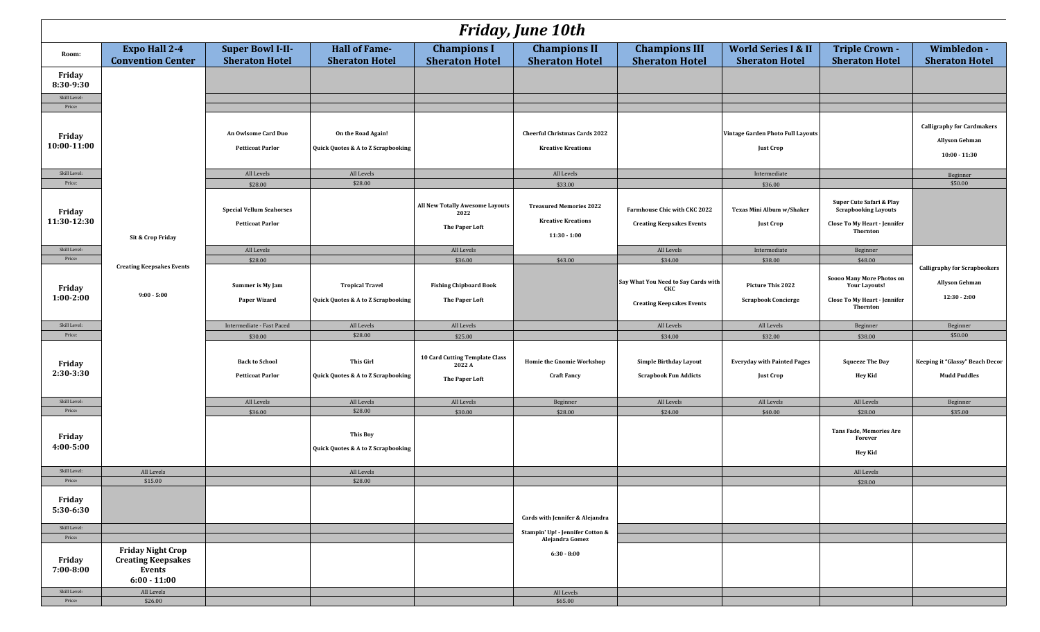| <b>Friday, June 10th</b>          |                                                                                   |                                                                       |                                                           |                                                            |                                                                        |                                                                  |                                                          |                                                                                                     |                                                                               |
|-----------------------------------|-----------------------------------------------------------------------------------|-----------------------------------------------------------------------|-----------------------------------------------------------|------------------------------------------------------------|------------------------------------------------------------------------|------------------------------------------------------------------|----------------------------------------------------------|-----------------------------------------------------------------------------------------------------|-------------------------------------------------------------------------------|
| Room:                             | <b>Expo Hall 2-4</b><br><b>Convention Center</b>                                  | <b>Super Bowl I-II-</b><br><b>Sheraton Hotel</b>                      | Hall of Fame-<br><b>Sheraton Hotel</b>                    | <b>Champions I</b><br><b>Sheraton Hotel</b>                | <b>Champions II</b><br><b>Sheraton Hotel</b>                           | <b>Champions III</b><br><b>Sheraton Hotel</b>                    | <b>World Series I &amp; II</b><br><b>Sheraton Hotel</b>  | <b>Triple Crown -</b><br><b>Sheraton Hotel</b>                                                      | Wimbledon -<br><b>Sheraton Hotel</b>                                          |
| Friday<br>8:30-9:30               |                                                                                   |                                                                       |                                                           |                                                            |                                                                        |                                                                  |                                                          |                                                                                                     |                                                                               |
| Skill Level:<br>Price:            |                                                                                   |                                                                       |                                                           |                                                            |                                                                        |                                                                  |                                                          |                                                                                                     |                                                                               |
| Friday<br>10:00-11:00             |                                                                                   | An Owlsome Card Duo<br><b>Petticoat Parlor</b>                        | On the Road Again!<br>Quick Quotes & A to Z Scrapbooking  |                                                            | <b>Cheerful Christmas Cards 2022</b><br><b>Kreative Kreations</b>      |                                                                  | Vintage Garden Photo Full Layouts<br><b>Just Crop</b>    |                                                                                                     | <b>Calligraphy for Cardmakers</b><br><b>Allyson Gehman</b><br>$10:00 - 11:30$ |
| Skill Level:                      |                                                                                   | All Levels                                                            | All Levels                                                |                                                            | All Levels                                                             |                                                                  | Intermediate                                             |                                                                                                     | Beginner                                                                      |
| Price:<br>Friday<br>11:30-12:30   |                                                                                   | \$28.00<br><b>Special Vellum Seahorses</b><br><b>Petticoat Parlor</b> | \$28.00                                                   | All New Totally Awesome Layouts<br>2022<br>The Paper Loft  | \$33.00<br><b>Treasured Memories 2022</b><br><b>Kreative Kreations</b> | Farmhouse Chic with CKC 2022<br><b>Creating Keepsakes Events</b> | \$36.00<br>Texas Mini Album w/Shaker<br><b>Just Crop</b> | Super Cute Safari & Play<br><b>Scrapbooking Layouts</b><br>Close To My Heart - Jennifer<br>Thornton | \$50.00                                                                       |
|                                   | Sit & Crop Friday                                                                 |                                                                       |                                                           |                                                            | $11:30 - 1:00$                                                         |                                                                  |                                                          |                                                                                                     |                                                                               |
| Skill Level:<br>Price:            |                                                                                   | All Levels                                                            |                                                           | All Levels                                                 |                                                                        | All Levels                                                       | Intermediate                                             | Beginner                                                                                            |                                                                               |
|                                   | <b>Creating Keepsakes Events</b>                                                  | \$28.00<br>Summer is My Jam                                           | <b>Tropical Travel</b>                                    | \$36.00<br><b>Fishing Chipboard Book</b>                   | \$43.00                                                                | \$34.00<br>Say What You Need to Say Cards with                   | \$38.00<br>Picture This 2022                             | \$48.00<br>Soooo Many More Photos on<br><b>Your Layouts!</b>                                        | <b>Calligraphy for Scrapbookers</b><br><b>Allyson Gehman</b>                  |
| Friday<br>$1:00-2:00$             | $9:00 - 5:00$                                                                     | Paper Wizard                                                          | Quick Quotes & A to Z Scrapbooking                        | The Paper Loft                                             |                                                                        | CKC<br><b>Creating Keepsakes Events</b>                          | <b>Scrapbook Concierge</b>                               | Close To My Heart - Jennifer<br><b>Thornton</b>                                                     | $12:30 - 2:00$                                                                |
| Skill Level:                      |                                                                                   | Intermediate - Fast Paced                                             | All Levels                                                | All Levels                                                 |                                                                        | All Levels                                                       | All Levels                                               | Beginner                                                                                            | Beginner                                                                      |
| Price:                            |                                                                                   | \$30.00                                                               | \$28.00                                                   | \$25.00                                                    |                                                                        | \$34.00                                                          | \$32.00                                                  | \$38.00                                                                                             | \$50.00                                                                       |
| Friday<br>$2:30-3:30$             |                                                                                   | <b>Back to School</b><br><b>Petticoat Parlor</b>                      | This Girl<br>Quick Quotes & A to Z Scrapbooking           | 10 Card Cutting Template Class<br>2022 A<br>The Paper Loft | <b>Homie the Gnomie Workshop</b><br><b>Craft Fancy</b>                 | <b>Simple Birthday Layout</b><br><b>Scrapbook Fun Addicts</b>    | <b>Everyday with Painted Pages</b><br><b>Just Crop</b>   | <b>Squeeze The Day</b><br>Hey Kid                                                                   | Keeping it "Glassy" Beach Decor<br><b>Mudd Puddles</b>                        |
| Skill Level:                      |                                                                                   | All Levels                                                            | All Levels                                                | All Levels                                                 | Beginner                                                               | All Levels                                                       | All Levels                                               | All Levels                                                                                          | Beginner                                                                      |
| Price:<br>Friday<br>$4:00 - 5:00$ |                                                                                   | \$36.00                                                               | \$28.00<br>This Boy<br>Quick Quotes & A to Z Scrapbooking | \$30.00                                                    | \$28.00                                                                | \$24.00                                                          | \$40.00                                                  | \$28.00<br><b>Tans Fade, Memories Are</b><br>Forever<br>Hey Kid                                     | \$35.00                                                                       |
| Skill Level:                      | All Levels                                                                        |                                                                       | All Levels                                                |                                                            |                                                                        |                                                                  |                                                          | All Levels                                                                                          |                                                                               |
| Price:                            | \$15.00                                                                           |                                                                       | \$28.00                                                   |                                                            |                                                                        |                                                                  |                                                          | \$28.00                                                                                             |                                                                               |
| Friday<br>5:30-6:30               |                                                                                   |                                                                       |                                                           |                                                            | Cards with Jennifer & Alejandra                                        |                                                                  |                                                          |                                                                                                     |                                                                               |
| Skill Level:                      |                                                                                   |                                                                       |                                                           |                                                            | Stampin' Up! - Jennifer Cotton &                                       |                                                                  |                                                          |                                                                                                     |                                                                               |
| Price:<br>Friday<br>7:00-8:00     | <b>Friday Night Crop</b><br><b>Creating Keepsakes</b><br>Events<br>$6:00 - 11:00$ |                                                                       |                                                           |                                                            | Alejandra Gomez<br>$6:30 - 8:00$                                       |                                                                  |                                                          |                                                                                                     |                                                                               |
| Skill Level:                      | All Levels                                                                        |                                                                       |                                                           |                                                            | All Levels                                                             |                                                                  |                                                          |                                                                                                     |                                                                               |
| Price:                            | \$26.00                                                                           |                                                                       |                                                           |                                                            | \$65.00                                                                |                                                                  |                                                          |                                                                                                     |                                                                               |